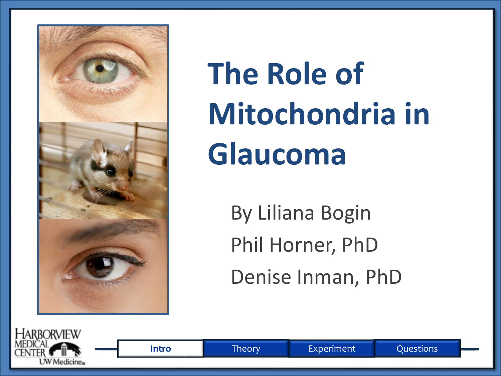

**The Role of Mitochondria in Glaucoma**

> By Liliana Bogin Phil Horner, PhD Denise Inman, PhD

**Intro** Theory Experiment Questions

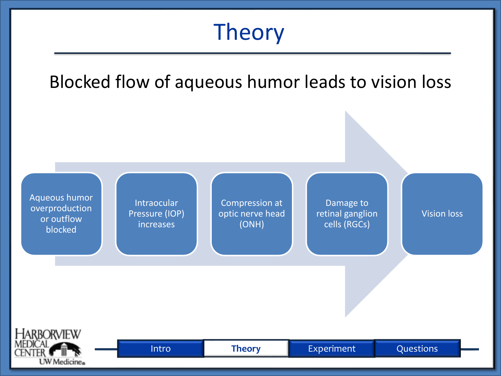#### Theory

Blocked flow of aqueous humor leads to vision loss

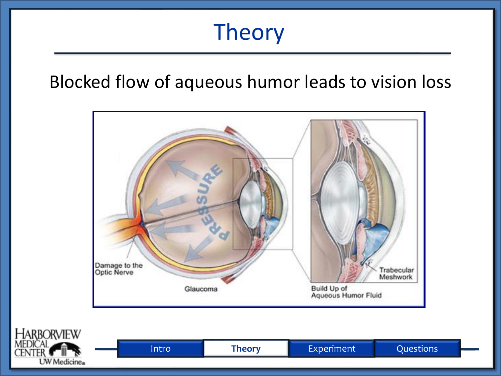#### Theory

#### Blocked flow of aqueous humor leads to vision loss

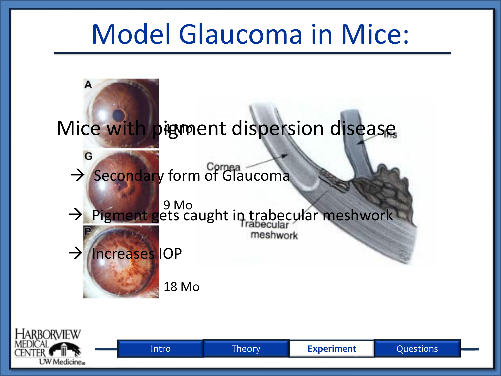## Model Glaucoma in Mice:



**LW** Medicine.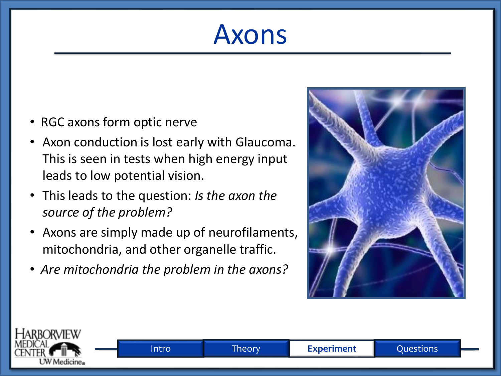## Axons

- RGC axons form optic nerve
- Axon conduction is lost early with Glaucoma. This is seen in tests when high energy input leads to low potential vision.
- This leads to the question: *Is the axon the source of the problem?*
- Axons are simply made up of neurofilaments, mitochondria, and other organelle traffic.
- *Are mitochondria the problem in the axons?*



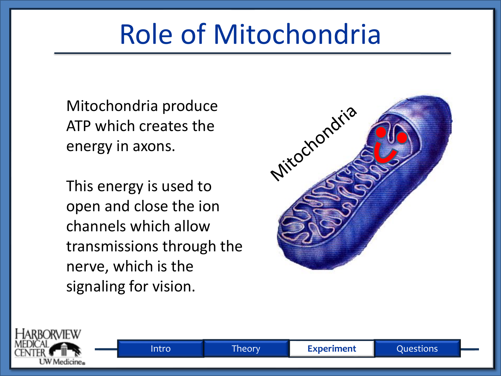# Role of Mitochondria

Mitochondria produce ATP which creates the energy in axons.

This energy is used to open and close the ion channels which allow transmissions through the nerve, which is the signaling for vision.



Intro Theory **Experiment** Questions

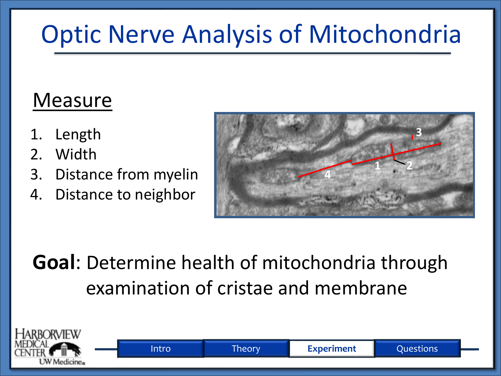### Optic Nerve Analysis of Mitochondria

#### **Measure**

- 1. Length
- 2. Width
- 3. Distance from myelin
- 4. Distance to neighbor



#### **Goal**: Determine health of mitochondria through examination of cristae and membrane

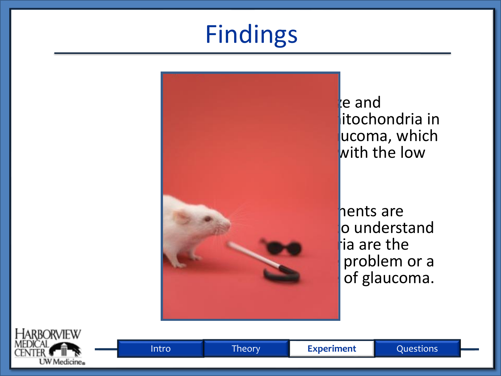# Findings



e and itochondria in ucoma, which with the low

hents are  $\log$  understand  $\dagger$ ia are the problem or a of glaucoma.